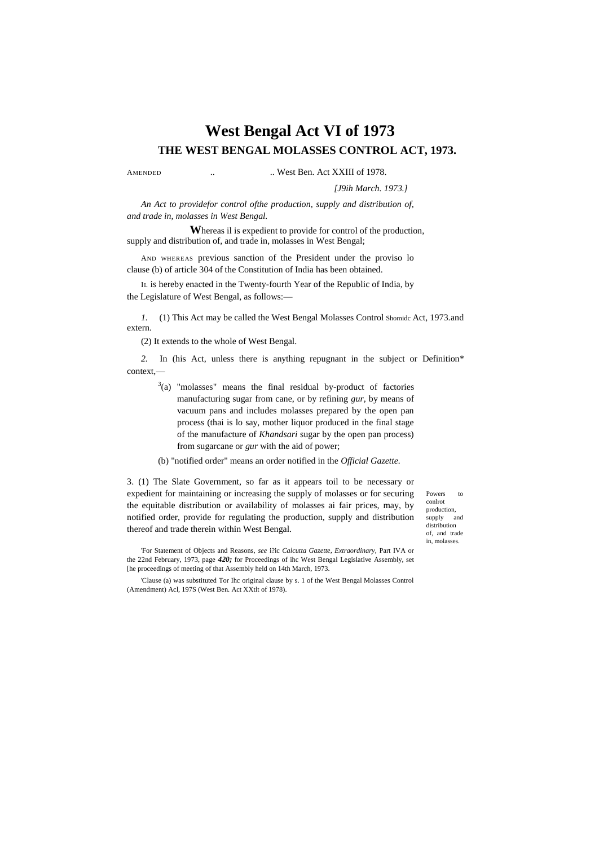# **West Bengal Act VI of 1973 THE WEST BENGAL MOLASSES CONTROL ACT, 1973.**

AMENDED ... West Ben. Act XXIII of 1978.

#### *[J9ih March. 1973.]*

*An Act to providefor control ofthe production, supply and distribution of, and trade in, molasses in West Bengal.*

**W**hereas il is expedient to provide for control of the production, supply and distribution of, and trade in, molasses in West Bengal;

AND WHEREAS previous sanction of the President under the proviso lo clause (b) of article 304 of the Constitution of India has been obtained.

I<sup>L</sup> is hereby enacted in the Twenty-fourth Year of the Republic of India, by the Legislature of West Bengal, as follows:—

*1.* (1) This Act may be called the West Bengal Molasses Control Shomidc Act, 1973.and extern.

(2) It extends to the whole of West Bengal.

*2.* In (his Act, unless there is anything repugnant in the subject or Definition\* context,—

- $3$ (a) "molasses" means the final residual by-product of factories manufacturing sugar from cane, or by refining *gur,* by means of vacuum pans and includes molasses prepared by the open pan process (thai is lo say, mother liquor produced in the final stage of the manufacture of *Khandsari* sugar by the open pan process) from sugarcane or *gur* with the aid of power;
- (b) "notified order" means an order notified in the *Official Gazette.*

3. (1) The Slate Government, so far as it appears toil to be necessary or expedient for maintaining or increasing the supply of molasses or for securing the equitable distribution or availability of molasses ai fair prices, may, by notified order, provide for regulating the production, supply and distribution thereof and trade therein within West Bengal.

'For Statement of Objects and Reasons, *see* i?ic *Calcutta Gazette, Extraordinary,* Part IVA or the 22nd February, 1973, page *420;* for Proceedings of ihc West Bengal Legislative Assembly, set [he proceedings of meeting of that Assembly held on 14th March, 1973.

'Clause (a) was substituted Tor Ihc original clause by s. 1 of the West Bengal Molasses Control (Amendment) Acl, 197S (West Ben. Act XXtlt of 1978).

Powers to conlrot production, supply and distribution of, and trade in, molasses.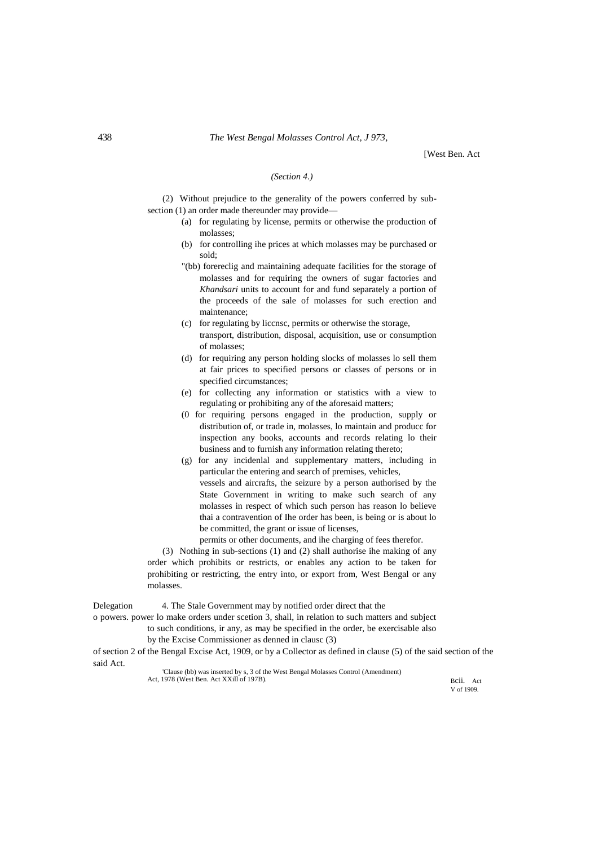[West Ben. Act

#### *(Section 4.)*

(2) Without prejudice to the generality of the powers conferred by subsection (1) an order made thereunder may provide—

- (a) for regulating by license, permits or otherwise the production of molasses;
- (b) for controlling ihe prices at which molasses may be purchased or sold;
- "(bb) forereclig and maintaining adequate facilities for the storage of molasses and for requiring the owners of sugar factories and *Khandsari* units to account for and fund separately a portion of the proceeds of the sale of molasses for such erection and maintenance;
- (c) for regulating by liccnsc, permits or otherwise the storage, transport, distribution, disposal, acquisition, use or consumption of molasses;
- (d) for requiring any person holding slocks of molasses lo sell them at fair prices to specified persons or classes of persons or in specified circumstances;
- (e) for collecting any information or statistics with a view to regulating or prohibiting any of the aforesaid matters;
- (0 for requiring persons engaged in the production, supply or distribution of, or trade in, molasses, lo maintain and producc for inspection any books, accounts and records relating lo their business and to furnish any information relating thereto;
- (g) for any incidenlal and supplementary matters, including in particular the entering and search of premises, vehicles, vessels and aircrafts, the seizure by a person authorised by the State Government in writing to make such search of any molasses in respect of which such person has reason lo believe thai a contravention of Ihe order has been, is being or is about lo be committed, the grant or issue of licenses,

permits or other documents, and ihe charging of fees therefor.

(3) Nothing in sub-sections (1) and (2) shall authorise ihe making of any order which prohibits or restricts, or enables any action to be taken for prohibiting or restricting, the entry into, or export from, West Bengal or any molasses.

Delegation 4. The Stale Government may by notified order direct that the

o powers. power lo make orders under scetion 3, shall, in relation to such matters and subject to such conditions, ir any, as may be specified in the order, be exercisable also by the Excise Commissioner as denned in clausc (3)

of section 2 of the Bengal Excise Act, 1909, or by a Collector as defined in clause (5) of the said section of the said Act.

'Clause (bb) was inserted by s, 3 of the West Bengal Molasses Control (Amendment) Act, 1978 (West Ben. Act XXill of 197B).

Bcii. Act V of 1909.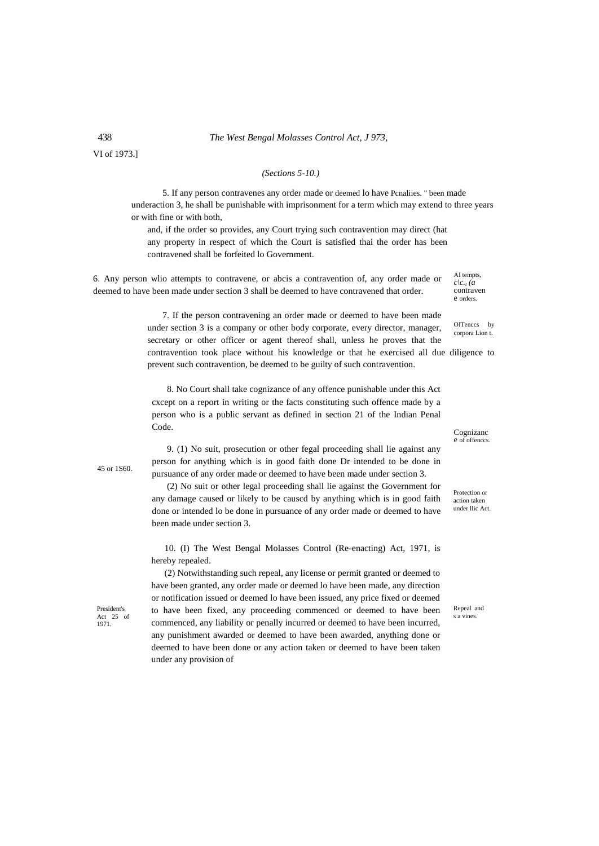### 438 *The West Bengal Molasses Control Act, J 973,*

VI of 1973.]

#### *(Sections 5-10.)*

5. If any person contravenes any order made or deemed lo have Pcnaliies. " been made underaction 3, he shall be punishable with imprisonment for a term which may extend to three years or with fine or with both,

and, if the order so provides, any Court trying such contravention may direct (hat any property in respect of which the Court is satisfied thai the order has been contravened shall be forfeited lo Government.

6. Any person wlio attempts to contravene, or abcis a contravention of, any order made or deemed to have been made under section 3 shall be deemed to have contravened that order.

7. If the person contravening an order made or deemed to have been made

under section 3 is a company or other body corporate, every director, manager, secretary or other officer or agent thereof shall, unless he proves that the contravention took place without his knowledge or that he exercised all due diligence to prevent such contravention, be deemed to be guilty of such contravention.

8. No Court shall take cognizance of any offence punishable under this Act cxcept on a report in writing or the facts constituting such offence made by a person who is a public servant as defined in section 21 of the Indian Penal Code.

45 or 1S60.

President's Act 25 of 1971.

9. (1) No suit, prosecution or other fegal proceeding shall lie against any person for anything which is in good faith done Dr intended to be done in pursuance of any order made or deemed to have been made under section 3.

(2) No suit or other legal proceeding shall lie against the Government for any damage caused or likely to be causcd by anything which is in good faith done or intended lo be done in pursuance of any order made or deemed to have been made under section 3.

10. (I) The West Bengal Molasses Control (Re-enacting) Act, 1971, is hereby repealed.

(2) Notwithstanding such repeal, any license or permit granted or deemed to have been granted, any order made or deemed lo have been made, any direction or notification issued or deemed lo have been issued, any price fixed or deemed to have been fixed, any proceeding commenced or deemed to have been commenced, any liability or penally incurred or deemed to have been incurred, any punishment awarded or deemed to have been awarded, anything done or deemed to have been done or any action taken or deemed to have been taken under any provision of

 $c \backslash c$ <sup>*t*</sup>  $(a)$ contraven e orders.

AI tempts,

OITenccs by corpora Lion t.

Cognizanc e of offenccs.

Protection or action taken under llic Act.

Repeal and s a vines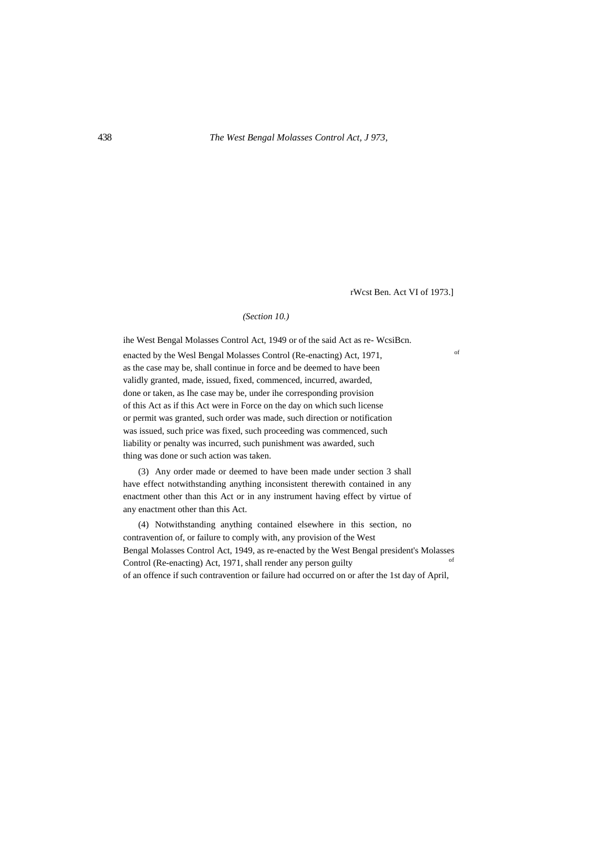rWcst Ben. Act VI of 1973.]

## *(Section 10.)*

ihe West Bengal Molasses Control Act, 1949 or of the said Act as re- WcsiBcn. enacted by the Wesl Bengal Molasses Control (Re-enacting) Act, 1971, as the case may be, shall continue in force and be deemed to have been validly granted, made, issued, fixed, commenced, incurred, awarded, done or taken, as Ihe case may be, under ihe corresponding provision of this Act as if this Act were in Force on the day on which such license or permit was granted, such order was made, such direction or notification was issued, such price was fixed, such proceeding was commenced, such liability or penalty was incurred, such punishment was awarded, such thing was done or such action was taken.

(3) Any order made or deemed to have been made under section 3 shall have effect notwithstanding anything inconsistent therewith contained in any enactment other than this Act or in any instrument having effect by virtue of any enactment other than this Act.

(4) Notwithstanding anything contained elsewhere in this section, no contravention of, or failure to comply with, any provision of the West Bengal Molasses Control Act, 1949, as re-enacted by the West Bengal president's Molasses Control (Re-enacting) Act, 1971, shall render any person guilty of an offence if such contravention or failure had occurred on or after the 1st day of April,